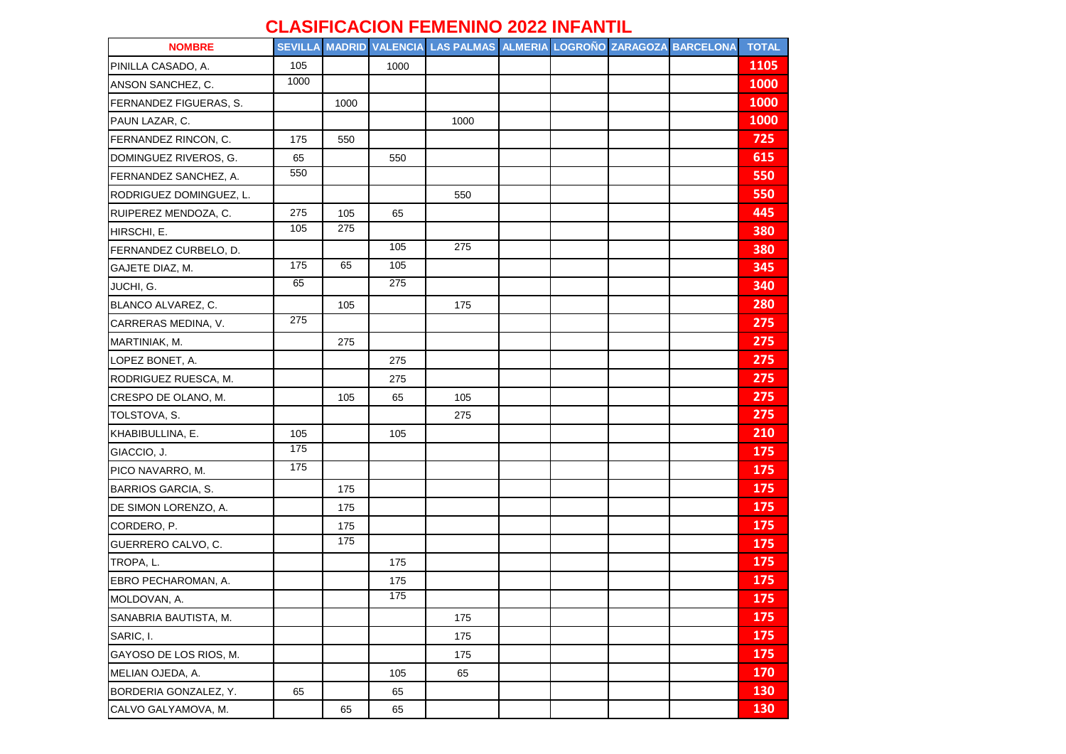## **CLASIFICACION FEMENINO 2022 INFANTIL**

| <b>NOMBRE</b>             |                  |      |                 | SEVILLA MADRID VALENCIA LAS PALMAS ALMERIA LOGROÑO ZARAGOZA BARCELONA |  |  | <b>TOTAL</b> |
|---------------------------|------------------|------|-----------------|-----------------------------------------------------------------------|--|--|--------------|
| PINILLA CASADO, A.        | 105              |      | 1000            |                                                                       |  |  | 1105         |
| ANSON SANCHEZ, C.         | 1000             |      |                 |                                                                       |  |  | 1000         |
| FERNANDEZ FIGUERAS, S.    |                  | 1000 |                 |                                                                       |  |  | 1000         |
| PAUN LAZAR, C.            |                  |      |                 | 1000                                                                  |  |  | 1000         |
| FERNANDEZ RINCON, C.      | 175              | 550  |                 |                                                                       |  |  | 725          |
| DOMINGUEZ RIVEROS, G.     | 65               |      | 550             |                                                                       |  |  | 615          |
| FERNANDEZ SANCHEZ, A.     | 550              |      |                 |                                                                       |  |  | 550          |
| RODRIGUEZ DOMINGUEZ, L.   |                  |      |                 | 550                                                                   |  |  | 550          |
| RUIPEREZ MENDOZA, C.      | 275              | 105  | 65              |                                                                       |  |  | 445          |
| HIRSCHI, E.               | 105              | 275  |                 |                                                                       |  |  | 380          |
| FERNANDEZ CURBELO, D.     |                  |      | 105             | 275                                                                   |  |  | 380          |
| GAJETE DIAZ, M.           | 175              | 65   | $\frac{105}{2}$ |                                                                       |  |  | 345          |
| JUCHI, G.                 | 65               |      | 275             |                                                                       |  |  | 340          |
| BLANCO ALVAREZ, C.        |                  | 105  |                 | 175                                                                   |  |  | 280          |
| CARRERAS MEDINA, V.       | $\overline{275}$ |      |                 |                                                                       |  |  | 275          |
| MARTINIAK, M.             |                  | 275  |                 |                                                                       |  |  | 275          |
| LOPEZ BONET, A.           |                  |      | 275             |                                                                       |  |  | 275          |
| RODRIGUEZ RUESCA, M.      |                  |      | 275             |                                                                       |  |  | 275          |
| CRESPO DE OLANO, M.       |                  | 105  | 65              | 105                                                                   |  |  | 275          |
| TOLSTOVA, S.              |                  |      |                 | 275                                                                   |  |  | 275          |
| KHABIBULLINA, E.          | 105              |      | 105             |                                                                       |  |  | 210          |
| GIACCIO, J.               | 175              |      |                 |                                                                       |  |  | 175          |
| PICO NAVARRO, M.          | 175              |      |                 |                                                                       |  |  | 175          |
| <b>BARRIOS GARCIA, S.</b> |                  | 175  |                 |                                                                       |  |  | 175          |
| DE SIMON LORENZO, A.      |                  | 175  |                 |                                                                       |  |  | 175          |
| CORDERO, P.               |                  | 175  |                 |                                                                       |  |  | 175          |
| GUERRERO CALVO, C.        |                  | 175  |                 |                                                                       |  |  | 175          |
| TROPA, L.                 |                  |      | 175             |                                                                       |  |  | 175          |
| EBRO PECHAROMAN, A.       |                  |      | 175             |                                                                       |  |  | 175          |
| MOLDOVAN, A.              |                  |      | 175             |                                                                       |  |  | 175          |
| SANABRIA BAUTISTA, M.     |                  |      |                 | 175                                                                   |  |  | 175          |
| SARIC, I.                 |                  |      |                 | 175                                                                   |  |  | 175          |
| GAYOSO DE LOS RIOS, M.    |                  |      |                 | 175                                                                   |  |  | 175          |
| MELIAN OJEDA, A.          |                  |      | 105             | 65                                                                    |  |  | 170          |
| BORDERIA GONZALEZ, Y.     | 65               |      | 65              |                                                                       |  |  | 130          |
| CALVO GALYAMOVA, M.       |                  | 65   | 65              |                                                                       |  |  | 130          |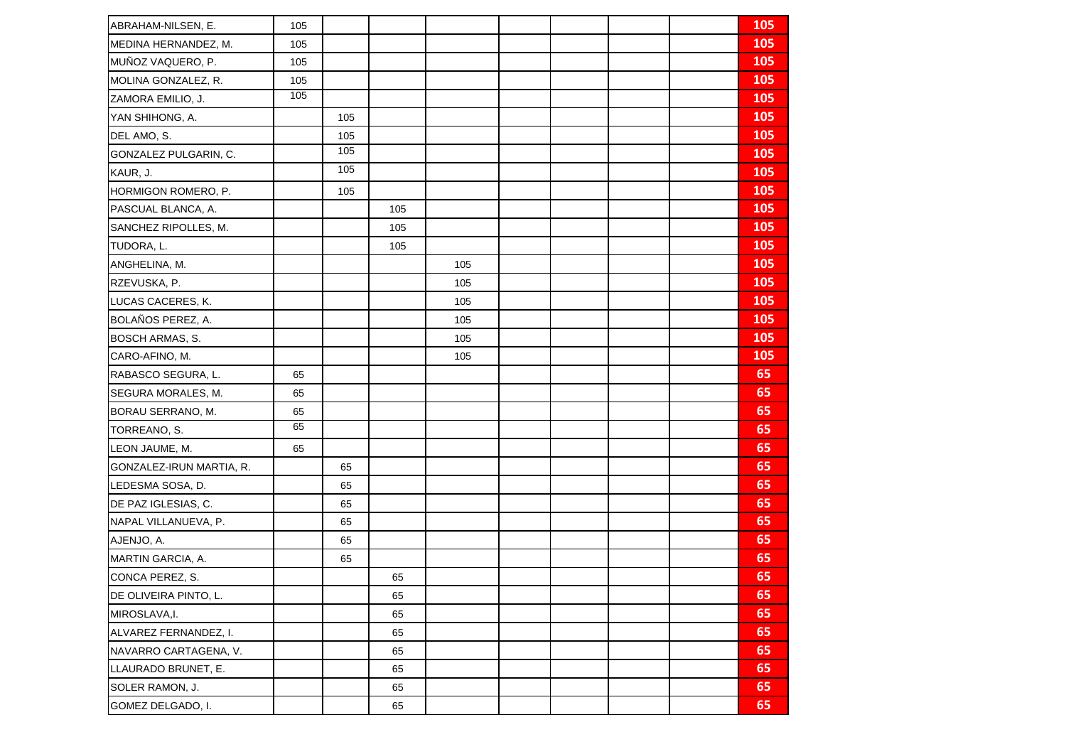| ABRAHAM-NILSEN, E.       | 105 |     |     |     |  |  | 105 |
|--------------------------|-----|-----|-----|-----|--|--|-----|
| MEDINA HERNANDEZ, M.     | 105 |     |     |     |  |  | 105 |
| MUÑOZ VAQUERO, P.        | 105 |     |     |     |  |  | 105 |
| MOLINA GONZALEZ, R.      | 105 |     |     |     |  |  | 105 |
| ZAMORA EMILIO, J.        | 105 |     |     |     |  |  | 105 |
| YAN SHIHONG, A.          |     | 105 |     |     |  |  | 105 |
| DEL AMO, S.              |     | 105 |     |     |  |  | 105 |
| GONZALEZ PULGARIN, C.    |     | 105 |     |     |  |  | 105 |
| KAUR, J.                 |     | 105 |     |     |  |  | 105 |
| HORMIGON ROMERO, P.      |     | 105 |     |     |  |  | 105 |
| PASCUAL BLANCA, A.       |     |     | 105 |     |  |  | 105 |
| SANCHEZ RIPOLLES, M.     |     |     | 105 |     |  |  | 105 |
| TUDORA, L.               |     |     | 105 |     |  |  | 105 |
| ANGHELINA, M.            |     |     |     | 105 |  |  | 105 |
| RZEVUSKA, P.             |     |     |     | 105 |  |  | 105 |
| LUCAS CACERES, K.        |     |     |     | 105 |  |  | 105 |
| BOLAÑOS PEREZ, A.        |     |     |     | 105 |  |  | 105 |
| <b>BOSCH ARMAS, S.</b>   |     |     |     | 105 |  |  | 105 |
| CARO-AFINO, M.           |     |     |     | 105 |  |  | 105 |
| RABASCO SEGURA, L.       | 65  |     |     |     |  |  | 65  |
| SEGURA MORALES, M.       | 65  |     |     |     |  |  | 65  |
| BORAU SERRANO, M.        | 65  |     |     |     |  |  | 65  |
| TORREANO, S.             | 65  |     |     |     |  |  | 65  |
| LEON JAUME, M.           | 65  |     |     |     |  |  | 65  |
| GONZALEZ-IRUN MARTIA, R. |     | 65  |     |     |  |  | 65  |
| LEDESMA SOSA, D.         |     | 65  |     |     |  |  | 65  |
| DE PAZ IGLESIAS, C.      |     | 65  |     |     |  |  | 65  |
| NAPAL VILLANUEVA, P.     |     | 65  |     |     |  |  | 65  |
| AJENJO, A.               |     | 65  |     |     |  |  | 65  |
| MARTIN GARCIA, A.        |     | 65  |     |     |  |  | 65  |
| CONCA PEREZ, S.          |     |     | 65  |     |  |  | 65  |
| DE OLIVEIRA PINTO, L.    |     |     | 65  |     |  |  | 65  |
| MIROSLAVA, I.            |     |     | 65  |     |  |  | 65  |
| ALVAREZ FERNANDEZ, I.    |     |     | 65  |     |  |  | 65  |
| NAVARRO CARTAGENA, V.    |     |     | 65  |     |  |  | 65  |
| LLAURADO BRUNET, E.      |     |     | 65  |     |  |  | 65  |
| SOLER RAMON, J.          |     |     | 65  |     |  |  | 65  |
| GOMEZ DELGADO, I.        |     |     | 65  |     |  |  | 65  |